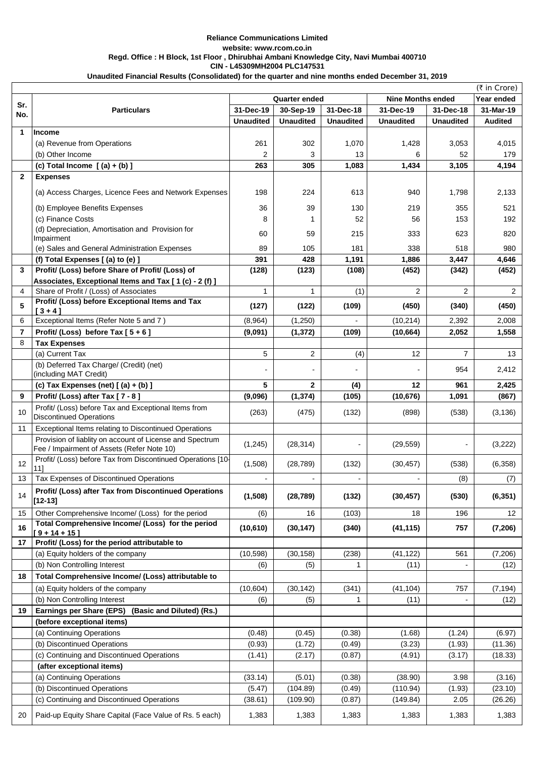|                 |                                                                                                        |                      |                              |                  |                          |                  | (₹ in Crore)    |
|-----------------|--------------------------------------------------------------------------------------------------------|----------------------|------------------------------|------------------|--------------------------|------------------|-----------------|
| Sr.             | <b>Particulars</b>                                                                                     | <b>Quarter ended</b> |                              |                  | <b>Nine Months ended</b> | Year ended       |                 |
| No.             |                                                                                                        | 31-Dec-19            | 30-Sep-19                    | 31-Dec-18        | 31-Dec-19                | 31-Dec-18        | 31-Mar-19       |
|                 |                                                                                                        | <b>Unaudited</b>     | <b>Unaudited</b>             | <b>Unaudited</b> | <b>Unaudited</b>         | <b>Unaudited</b> | <b>Audited</b>  |
| $\mathbf 1$     | <b>Income</b>                                                                                          |                      |                              |                  |                          |                  |                 |
|                 | (a) Revenue from Operations                                                                            | 261                  | 302                          | 1,070            | 1,428                    | 3,053            | 4,015           |
|                 | (b) Other Income                                                                                       | $\overline{2}$       | 3                            | 13               | 6                        | 52               | 179             |
|                 | (c) Total Income $(a) + (b)$ ]                                                                         | 263                  | 305                          | 1,083            | 1,434                    | 3,105            | 4,194           |
| $\mathbf{2}$    | <b>Expenses</b>                                                                                        |                      |                              |                  |                          |                  |                 |
|                 | (a) Access Charges, Licence Fees and Network Expenses                                                  | 198                  | 224                          | 613              | 940                      | 1,798            | 2,133           |
|                 | (b) Employee Benefits Expenses                                                                         | 36                   | 39                           | 130              | 219                      | 355              | 521             |
|                 | (c) Finance Costs                                                                                      | 8                    |                              | 52               | 56                       | 153              | 192             |
|                 | (d) Depreciation, Amortisation and Provision for<br>Impairment                                         | 60                   | 59                           | 215              | 333                      | 623              | 820             |
|                 | (e) Sales and General Administration Expenses                                                          | 89                   | 105                          | 181              | 338                      | 518              | 980             |
|                 | (f) Total Expenses [(a) to (e) ]                                                                       | 391                  | 428                          | 1,191            | 1,886                    | 3,447            | 4,646           |
| 3 <sup>1</sup>  | Profit/ (Loss) before Share of Profit/ (Loss) of                                                       | (128)                | (123)                        | (108)            | (452)                    | (342)            | (452)           |
|                 | Associates, Exceptional Items and Tax [ 1 (c) - 2 (f) ]                                                |                      |                              |                  |                          |                  |                 |
| 4               | Share of Profit / (Loss) of Associates                                                                 |                      | $\mathbf{1}$                 | (1)              | $\overline{2}$           | $\overline{2}$   | 2 <sup>1</sup>  |
| 5               | Profit/ (Loss) before Exceptional Items and Tax<br>$[3 + 4]$                                           | (127)                | (122)                        | (109)            | (450)                    | (340)            | (450)           |
| 6               | Exceptional Items (Refer Note 5 and 7)                                                                 | (8,964)              | (1,250)                      | $\blacksquare$   | (10, 214)                | 2,392            | 2,008           |
| $\overline{7}$  | Profit/ (Loss) before Tax $[5+6]$                                                                      | (9,091)              | (1, 372)                     | (109)            | (10, 664)                | 2,052            | 1,558           |
| 8               | <b>Tax Expenses</b>                                                                                    |                      |                              |                  |                          |                  |                 |
|                 | (a) Current Tax                                                                                        | 5                    | $\overline{2}$               | (4)              | 12                       | $\overline{7}$   | 13              |
|                 | (b) Deferred Tax Charge/ (Credit) (net)<br>(including MAT Credit)                                      |                      | $\qquad \qquad \blacksquare$ |                  |                          | 954              | 2,412           |
|                 | (c) Tax Expenses (net) $[(a) + (b)]$                                                                   | 5                    | $\mathbf{2}$                 | (4)              | 12                       | 961              | 2,425           |
| 9               | Profit/ (Loss) after Tax [7 - 8]                                                                       | (9,096)              | (1, 374)                     | (105)            | (10, 676)                | 1,091            | (867)           |
| 10              | Profit/ (Loss) before Tax and Exceptional Items from<br><b>Discontinued Operations</b>                 | (263)                | (475)                        | (132)            | (898)                    | (538)            | (3, 136)        |
| 11              | Exceptional Items relating to Discontinued Operations                                                  |                      |                              |                  |                          |                  |                 |
|                 | Provision of liablity on account of License and Spectrum<br>Fee / Impairment of Assets (Refer Note 10) | (1, 245)             | (28, 314)                    |                  | (29, 559)                |                  | (3,222)         |
| 12              | Profit/ (Loss) before Tax from Discontinued Operations [10-<br>11]                                     | (1,508)              | (28, 789)                    | (132)            | (30, 457)                | (538)            | (6,358)         |
| 13              | Tax Expenses of Discontinued Operations                                                                |                      |                              |                  |                          | (8)              | (7)             |
| 14              | Profit/ (Loss) after Tax from Discontinued Operations<br>[12-13]                                       | (1,508)              | (28, 789)                    | (132)            | (30, 457)                | (530)            | (6, 351)        |
| 15 <sub>1</sub> | Other Comprehensive Income/ (Loss) for the period                                                      | (6)                  | 16                           | (103)            | 18                       | 196              | 12 <sup>°</sup> |
|                 | Total Comprehensive Income/ (Loss) for the period                                                      |                      |                              |                  |                          |                  |                 |
| 16              | $[9 + 14 + 15]$                                                                                        | (10, 610)            | (30, 147)                    | (340)            | (41, 115)                | 757              | (7, 206)        |
| 17              | Profit/ (Loss) for the period attributable to                                                          |                      |                              |                  |                          |                  |                 |
|                 | (a) Equity holders of the company                                                                      | (10, 598)            | (30, 158)                    | (238)            | (41, 122)                | 561              | (7,206)         |
|                 | (b) Non Controlling Interest                                                                           | (6)                  | (5)                          |                  | (11)                     |                  | (12)            |
| 18              | Total Comprehensive Income/ (Loss) attributable to                                                     |                      |                              |                  |                          |                  |                 |
|                 | (a) Equity holders of the company                                                                      | (10, 604)            | (30, 142)                    | (341)            | (41, 104)                | 757              | (7, 194)        |
|                 | (b) Non Controlling Interest                                                                           | (6)                  | (5)                          |                  | (11)                     |                  | (12)            |
| 19              | Earnings per Share (EPS) (Basic and Diluted) (Rs.)                                                     |                      |                              |                  |                          |                  |                 |
|                 | (before exceptional items)                                                                             |                      |                              |                  |                          |                  |                 |
|                 | (a) Continuing Operations                                                                              | (0.48)               | (0.45)                       | (0.38)           | (1.68)                   | (1.24)           | (6.97)          |
|                 | (b) Discontinued Operations                                                                            | (0.93)               | (1.72)                       | (0.49)           | (3.23)                   | (1.93)           | (11.36)         |
|                 | (c) Continuing and Discontinued Operations                                                             | (1.41)               | (2.17)                       | (0.87)           | (4.91)                   | (3.17)           | (18.33)         |
|                 | (after exceptional items)                                                                              |                      |                              |                  |                          |                  |                 |
|                 | (a) Continuing Operations                                                                              | (33.14)              | (5.01)                       | (0.38)           | (38.90)                  | 3.98             | (3.16)          |
|                 | (b) Discontinued Operations                                                                            | (5.47)               | (104.89)                     | (0.49)           | (110.94)                 | (1.93)           | (23.10)         |
|                 | (c) Continuing and Discontinued Operations                                                             | (38.61)              | (109.90)                     | (0.87)           | (149.84)                 | 2.05             | (26.26)         |
| 20              | Paid-up Equity Share Capital (Face Value of Rs. 5 each)                                                | 1,383                | 1,383                        | 1,383            | 1,383                    | 1,383            | 1,383           |

**Unaudited Financial Results (Consolidated) for the quarter and nine months ended December 31, 2019**

## **Reliance Communications Limited website: www.rcom.co.in Regd. Office : H Block, 1st Floor , Dhirubhai Ambani Knowledge City, Navi Mumbai 400710 CIN - L45309MH2004 PLC147531**

 $\mathbf{r}$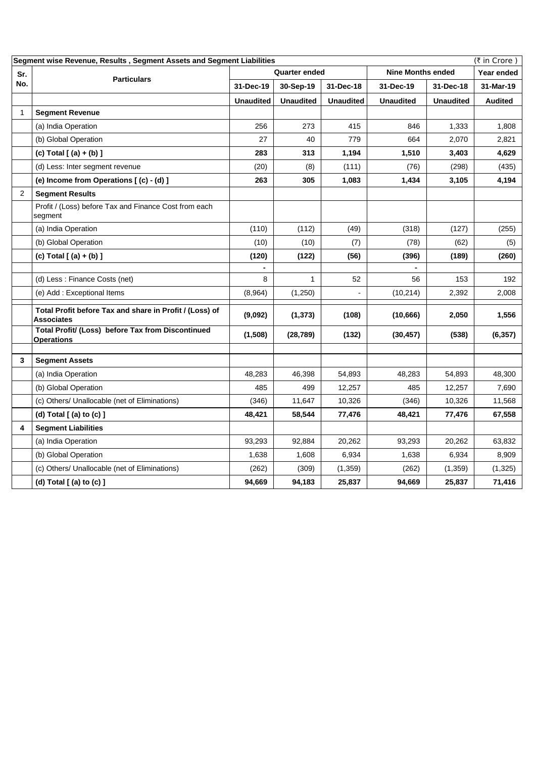| Segment wise Revenue, Results, Segment Assets and Segment Liabilities<br>(₹ in Crore) |                                                                              |                      |                  |                  |                          |                   |                |  |
|---------------------------------------------------------------------------------------|------------------------------------------------------------------------------|----------------------|------------------|------------------|--------------------------|-------------------|----------------|--|
| Sr.                                                                                   | <b>Particulars</b>                                                           | <b>Quarter ended</b> |                  |                  | <b>Nine Months ended</b> | <b>Year ended</b> |                |  |
| No.                                                                                   |                                                                              | 31-Dec-19            | 30-Sep-19        | 31-Dec-18        | 31-Dec-19                | 31-Dec-18         | 31-Mar-19      |  |
|                                                                                       |                                                                              | <b>Unaudited</b>     | <b>Unaudited</b> | <b>Unaudited</b> | <b>Unaudited</b>         | <b>Unaudited</b>  | <b>Audited</b> |  |
|                                                                                       | <b>Segment Revenue</b>                                                       |                      |                  |                  |                          |                   |                |  |
|                                                                                       | (a) India Operation                                                          | 256                  | 273              | 415              | 846                      | 1,333             | 1,808          |  |
|                                                                                       | (b) Global Operation                                                         | 27                   | 40               | 779              | 664                      | 2,070             | 2,821          |  |
|                                                                                       | (c) Total $[ (a) + (b) ]$                                                    | 283                  | 313              | 1,194            | 1,510                    | 3,403             | 4,629          |  |
|                                                                                       | (d) Less: Inter segment revenue                                              | (20)                 | (8)              | (111)            | (76)                     | (298)             | (435)          |  |
|                                                                                       | (e) Income from Operations [(c) - (d) ]                                      | 263                  | 305              | 1,083            | 1,434                    | 3,105             | 4,194          |  |
| $\overline{2}$                                                                        | <b>Segment Results</b>                                                       |                      |                  |                  |                          |                   |                |  |
|                                                                                       | Profit / (Loss) before Tax and Finance Cost from each<br>segment             |                      |                  |                  |                          |                   |                |  |
|                                                                                       | (a) India Operation                                                          | (110)                | (112)            | (49)             | (318)                    | (127)             | (255)          |  |
|                                                                                       | (b) Global Operation                                                         | (10)                 | (10)             | (7)              | (78)                     | (62)              | (5)            |  |
|                                                                                       | (c) Total $[ (a) + (b) ]$                                                    | (120)                | (122)            | (56)             | (396)                    | (189)             | (260)          |  |
|                                                                                       |                                                                              |                      |                  |                  |                          |                   |                |  |
|                                                                                       | (d) Less: Finance Costs (net)                                                | 8                    | $\mathbf{1}$     | 52               | 56                       | 153               | 192            |  |
|                                                                                       | (e) Add: Exceptional Items                                                   | (8,964)              | (1,250)          |                  | (10, 214)                | 2,392             | 2,008          |  |
|                                                                                       | Total Profit before Tax and share in Profit / (Loss) of<br><b>Associates</b> | (9,092)              | (1, 373)         | (108)            | (10, 666)                | 2,050             | 1,556          |  |
|                                                                                       | Total Profit/ (Loss) before Tax from Discontinued<br><b>Operations</b>       | (1,508)              | (28, 789)        | (132)            | (30, 457)                | (538)             | (6, 357)       |  |
| 3                                                                                     | <b>Segment Assets</b>                                                        |                      |                  |                  |                          |                   |                |  |
|                                                                                       | (a) India Operation                                                          | 48,283               | 46,398           | 54,893           | 48,283                   | 54,893            | 48,300         |  |
|                                                                                       | (b) Global Operation                                                         | 485                  | 499              | 12,257           | 485                      | 12,257            | 7,690          |  |
|                                                                                       | (c) Others/ Unallocable (net of Eliminations)                                | (346)                | 11,647           | 10,326           | (346)                    | 10,326            | 11,568         |  |
|                                                                                       | (d) Total $[$ (a) to (c) $]$                                                 | 48,421               | 58,544           | 77,476           | 48,421                   | 77,476            | 67,558         |  |
| 4                                                                                     | <b>Segment Liabilities</b>                                                   |                      |                  |                  |                          |                   |                |  |
|                                                                                       | (a) India Operation                                                          | 93,293               | 92,884           | 20,262           | 93,293                   | 20,262            | 63,832         |  |
|                                                                                       | (b) Global Operation                                                         | 1,638                | 1,608            | 6,934            | 1,638                    | 6,934             | 8,909          |  |
|                                                                                       | (c) Others/ Unallocable (net of Eliminations)                                | (262)                | (309)            | (1,359)          | (262)                    | (1,359)           | (1,325)        |  |
|                                                                                       | (d) Total $[$ (a) to $(c)$ $]$                                               | 94,669               | 94,183           | 25,837           | 94,669                   | 25,837            | 71,416         |  |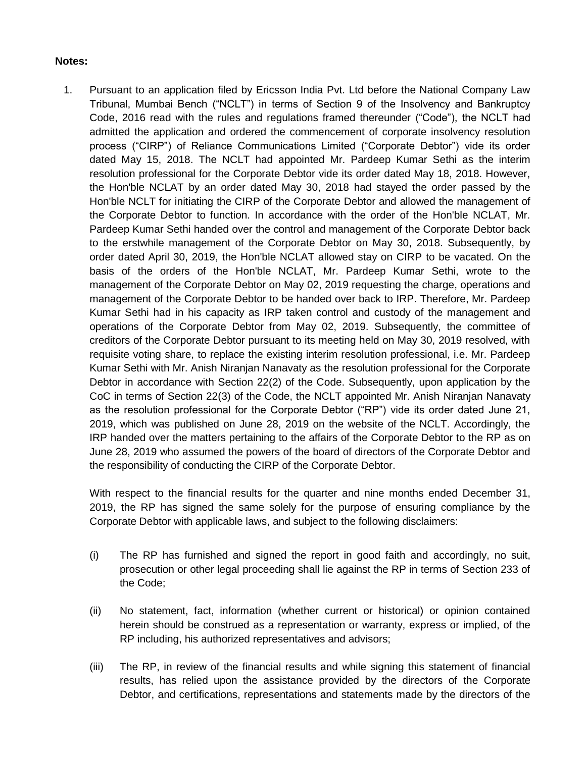## **Notes:**

1. Pursuant to an application filed by Ericsson India Pvt. Ltd before the National Company Law Tribunal, Mumbai Bench ("NCLT") in terms of Section 9 of the Insolvency and Bankruptcy Code, 2016 read with the rules and regulations framed thereunder ("Code"), the NCLT had admitted the application and ordered the commencement of corporate insolvency resolution process ("CIRP") of Reliance Communications Limited ("Corporate Debtor") vide its order dated May 15, 2018. The NCLT had appointed Mr. Pardeep Kumar Sethi as the interim resolution professional for the Corporate Debtor vide its order dated May 18, 2018. However, the Hon'ble NCLAT by an order dated May 30, 2018 had stayed the order passed by the Hon'ble NCLT for initiating the CIRP of the Corporate Debtor and allowed the management of the Corporate Debtor to function. In accordance with the order of the Hon'ble NCLAT, Mr. Pardeep Kumar Sethi handed over the control and management of the Corporate Debtor back to the erstwhile management of the Corporate Debtor on May 30, 2018. Subsequently, by order dated April 30, 2019, the Hon'ble NCLAT allowed stay on CIRP to be vacated. On the basis of the orders of the Hon'ble NCLAT, Mr. Pardeep Kumar Sethi, wrote to the management of the Corporate Debtor on May 02, 2019 requesting the charge, operations and management of the Corporate Debtor to be handed over back to IRP. Therefore, Mr. Pardeep Kumar Sethi had in his capacity as IRP taken control and custody of the management and operations of the Corporate Debtor from May 02, 2019. Subsequently, the committee of creditors of the Corporate Debtor pursuant to its meeting held on May 30, 2019 resolved, with requisite voting share, to replace the existing interim resolution professional, i.e. Mr. Pardeep Kumar Sethi with Mr. Anish Niranjan Nanavaty as the resolution professional for the Corporate Debtor in accordance with Section 22(2) of the Code. Subsequently, upon application by the CoC in terms of Section 22(3) of the Code, the NCLT appointed Mr. Anish Niranjan Nanavaty as the resolution professional for the Corporate Debtor ("RP") vide its order dated June 21, 2019, which was published on June 28, 2019 on the website of the NCLT. Accordingly, the IRP handed over the matters pertaining to the affairs of the Corporate Debtor to the RP as on June 28, 2019 who assumed the powers of the board of directors of the Corporate Debtor and the responsibility of conducting the CIRP of the Corporate Debtor.

With respect to the financial results for the quarter and nine months ended December 31, 2019, the RP has signed the same solely for the purpose of ensuring compliance by the Corporate Debtor with applicable laws, and subject to the following disclaimers:

- (i) The RP has furnished and signed the report in good faith and accordingly, no suit, prosecution or other legal proceeding shall lie against the RP in terms of Section 233 of the Code;
- (ii) No statement, fact, information (whether current or historical) or opinion contained herein should be construed as a representation or warranty, express or implied, of the RP including, his authorized representatives and advisors;
- (iii) The RP, in review of the financial results and while signing this statement of financial results, has relied upon the assistance provided by the directors of the Corporate Debtor, and certifications, representations and statements made by the directors of the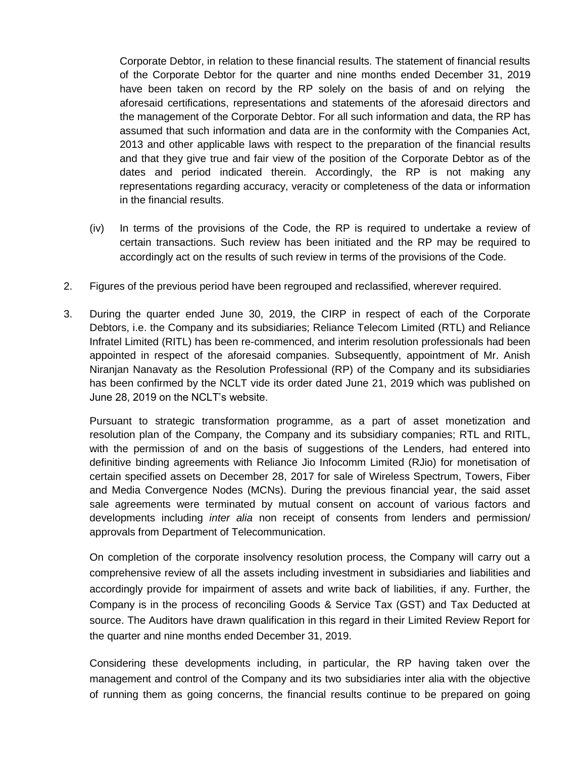Corporate Debtor, in relation to these financial results. The statement of financial results of the Corporate Debtor for the quarter and nine months ended December 31, 2019 have been taken on record by the RP solely on the basis of and on relying the aforesaid certifications, representations and statements of the aforesaid directors and the management of the Corporate Debtor. For all such information and data, the RP has assumed that such information and data are in the conformity with the Companies Act, 2013 and other applicable laws with respect to the preparation of the financial results and that they give true and fair view of the position of the Corporate Debtor as of the dates and period indicated therein. Accordingly, the RP is not making any representations regarding accuracy, veracity or completeness of the data or information in the financial results.

- (iv) In terms of the provisions of the Code, the RP is required to undertake a review of certain transactions. Such review has been initiated and the RP may be required to accordingly act on the results of such review in terms of the provisions of the Code.
- 2. Figures of the previous period have been regrouped and reclassified, wherever required.
- 3. During the quarter ended June 30, 2019, the CIRP in respect of each of the Corporate Debtors, i.e. the Company and its subsidiaries; Reliance Telecom Limited (RTL) and Reliance Infratel Limited (RITL) has been re-commenced, and interim resolution professionals had been appointed in respect of the aforesaid companies. Subsequently, appointment of Mr. Anish Niranjan Nanavaty as the Resolution Professional (RP) of the Company and its subsidiaries has been confirmed by the NCLT vide its order dated June 21, 2019 which was published on June 28, 2019 on the NCLT"s website.

Pursuant to strategic transformation programme, as a part of asset monetization and resolution plan of the Company, the Company and its subsidiary companies; RTL and RITL, with the permission of and on the basis of suggestions of the Lenders, had entered into definitive binding agreements with Reliance Jio Infocomm Limited (RJio) for monetisation of certain specified assets on December 28, 2017 for sale of Wireless Spectrum, Towers, Fiber and Media Convergence Nodes (MCNs). During the previous financial year, the said asset sale agreements were terminated by mutual consent on account of various factors and developments including *inter alia* non receipt of consents from lenders and permission/ approvals from Department of Telecommunication.

On completion of the corporate insolvency resolution process, the Company will carry out a comprehensive review of all the assets including investment in subsidiaries and liabilities and accordingly provide for impairment of assets and write back of liabilities, if any. Further, the Company is in the process of reconciling Goods & Service Tax (GST) and Tax Deducted at source. The Auditors have drawn qualification in this regard in their Limited Review Report for the quarter and nine months ended December 31, 2019.

Considering these developments including, in particular, the RP having taken over the management and control of the Company and its two subsidiaries inter alia with the objective of running them as going concerns, the financial results continue to be prepared on going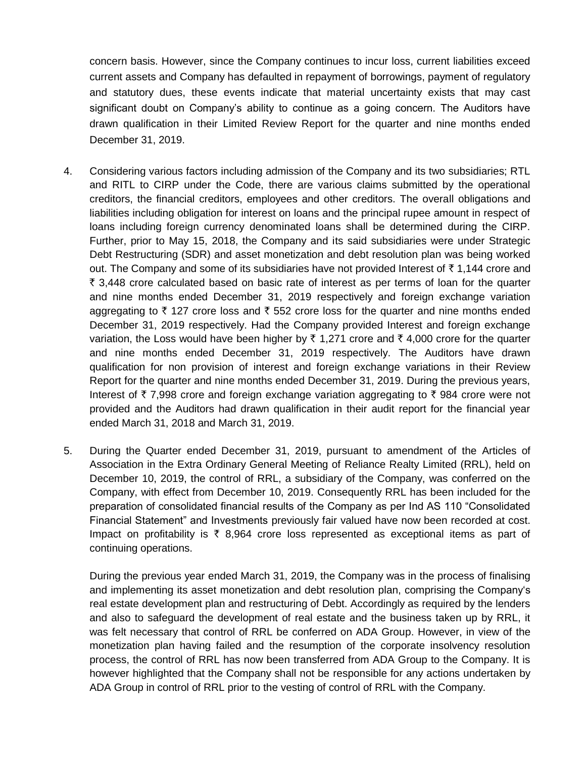concern basis. However, since the Company continues to incur loss, current liabilities exceed current assets and Company has defaulted in repayment of borrowings, payment of regulatory and statutory dues, these events indicate that material uncertainty exists that may cast significant doubt on Company"s ability to continue as a going concern. The Auditors have drawn qualification in their Limited Review Report for the quarter and nine months ended December 31, 2019.

- 4. Considering various factors including admission of the Company and its two subsidiaries; RTL and RITL to CIRP under the Code, there are various claims submitted by the operational creditors, the financial creditors, employees and other creditors. The overall obligations and liabilities including obligation for interest on loans and the principal rupee amount in respect of loans including foreign currency denominated loans shall be determined during the CIRP. Further, prior to May 15, 2018, the Company and its said subsidiaries were under Strategic Debt Restructuring (SDR) and asset monetization and debt resolution plan was being worked out. The Company and some of its subsidiaries have not provided Interest of  $\bar{\tau}$  1,144 crore and  $\bar{\tau}$  3,448 crore calculated based on basic rate of interest as per terms of loan for the quarter and nine months ended December 31, 2019 respectively and foreign exchange variation aggregating to  $\bar{\tau}$  127 crore loss and  $\bar{\tau}$  552 crore loss for the quarter and nine months ended December 31, 2019 respectively. Had the Company provided Interest and foreign exchange variation, the Loss would have been higher by  $\bar{\tau}$  1,271 crore and  $\bar{\tau}$  4,000 crore for the quarter and nine months ended December 31, 2019 respectively. The Auditors have drawn qualification for non provision of interest and foreign exchange variations in their Review Report for the quarter and nine months ended December 31, 2019. During the previous years, Interest of  $\bar{\tau}$  7,998 crore and foreign exchange variation aggregating to  $\bar{\tau}$  984 crore were not provided and the Auditors had drawn qualification in their audit report for the financial year ended March 31, 2018 and March 31, 2019.
- 5. During the Quarter ended December 31, 2019, pursuant to amendment of the Articles of Association in the Extra Ordinary General Meeting of Reliance Realty Limited (RRL), held on December 10, 2019, the control of RRL, a subsidiary of the Company, was conferred on the Company, with effect from December 10, 2019. Consequently RRL has been included for the preparation of consolidated financial results of the Company as per Ind AS 110 "Consolidated Financial Statement" and Investments previously fair valued have now been recorded at cost. Impact on profitability is  $\bar{\tau}$  8,964 crore loss represented as exceptional items as part of continuing operations.

During the previous year ended March 31, 2019, the Company was in the process of finalising and implementing its asset monetization and debt resolution plan, comprising the Company"s real estate development plan and restructuring of Debt. Accordingly as required by the lenders and also to safeguard the development of real estate and the business taken up by RRL, it was felt necessary that control of RRL be conferred on ADA Group. However, in view of the monetization plan having failed and the resumption of the corporate insolvency resolution process, the control of RRL has now been transferred from ADA Group to the Company. It is however highlighted that the Company shall not be responsible for any actions undertaken by ADA Group in control of RRL prior to the vesting of control of RRL with the Company.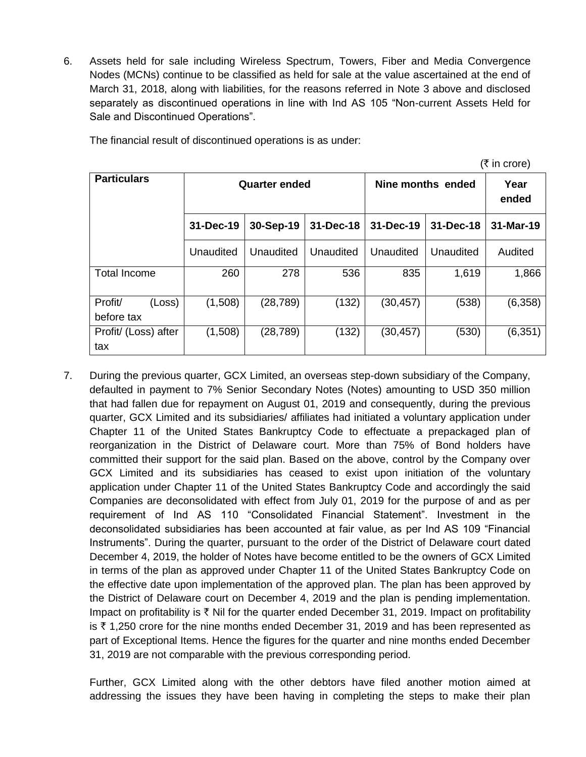6. Assets held for sale including Wireless Spectrum, Towers, Fiber and Media Convergence Nodes (MCNs) continue to be classified as held for sale at the value ascertained at the end of March 31, 2018, along with liabilities, for the reasons referred in Note 3 above and disclosed separately as discontinued operations in line with Ind AS 105 "Non-current Assets Held for Sale and Discontinued Operations".

| (₹ in core)                     |           |               |           |                   |               |           |  |
|---------------------------------|-----------|---------------|-----------|-------------------|---------------|-----------|--|
| <b>Particulars</b>              |           | Quarter ended |           | Nine months ended | Year<br>ended |           |  |
|                                 | 31-Dec-19 | 30-Sep-19     | 31-Dec-18 | 31-Dec-19         | 31-Dec-18     | 31-Mar-19 |  |
|                                 | Unaudited | Unaudited     | Unaudited | Unaudited         | Unaudited     | Audited   |  |
| <b>Total Income</b>             | 260       | 278           | 536       | 835               | 1,619         | 1,866     |  |
| Profit/<br>(Loss)<br>before tax | (1,508)   | (28, 789)     | (132)     | (30, 457)         | (538)         | (6, 358)  |  |
| Profit/ (Loss) after<br>tax     | (1,508)   | (28, 789)     | (132)     | (30, 457)         | (530)         | (6, 351)  |  |

The financial result of discontinued operations is as under:

7. During the previous quarter, GCX Limited, an overseas step-down subsidiary of the Company, defaulted in payment to 7% Senior Secondary Notes (Notes) amounting to USD 350 million that had fallen due for repayment on August 01, 2019 and consequently, during the previous quarter, GCX Limited and its subsidiaries/ affiliates had initiated a voluntary application under Chapter 11 of the United States Bankruptcy Code to effectuate a prepackaged plan of reorganization in the District of Delaware court. More than 75% of Bond holders have committed their support for the said plan. Based on the above, control by the Company over GCX Limited and its subsidiaries has ceased to exist upon initiation of the voluntary application under Chapter 11 of the United States Bankruptcy Code and accordingly the said Companies are deconsolidated with effect from July 01, 2019 for the purpose of and as per requirement of Ind AS 110 "Consolidated Financial Statement". Investment in the deconsolidated subsidiaries has been accounted at fair value, as per Ind AS 109 "Financial Instruments". During the quarter, pursuant to the order of the District of Delaware court dated December 4, 2019, the holder of Notes have become entitled to be the owners of GCX Limited in terms of the plan as approved under Chapter 11 of the United States Bankruptcy Code on the effective date upon implementation of the approved plan. The plan has been approved by the District of Delaware court on December 4, 2019 and the plan is pending implementation. Impact on profitability is  $\bar{\tau}$  Nil for the quarter ended December 31, 2019. Impact on profitability is  $\overline{\xi}$  1,250 crore for the nine months ended December 31, 2019 and has been represented as part of Exceptional Items. Hence the figures for the quarter and nine months ended December 31, 2019 are not comparable with the previous corresponding period.

Further, GCX Limited along with the other debtors have filed another motion aimed at addressing the issues they have been having in completing the steps to make their plan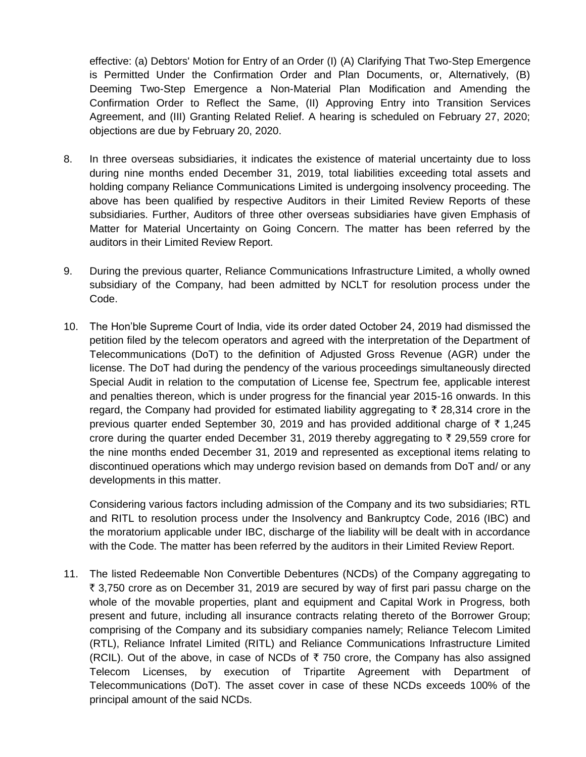effective: (a) Debtors' Motion for Entry of an Order (I) (A) Clarifying That Two-Step Emergence is Permitted Under the Confirmation Order and Plan Documents, or, Alternatively, (B) Deeming Two-Step Emergence a Non-Material Plan Modification and Amending the Confirmation Order to Reflect the Same, (II) Approving Entry into Transition Services Agreement, and (III) Granting Related Relief. A hearing is scheduled on February 27, 2020; objections are due by February 20, 2020.

- 8. In three overseas subsidiaries, it indicates the existence of material uncertainty due to loss during nine months ended December 31, 2019, total liabilities exceeding total assets and holding company Reliance Communications Limited is undergoing insolvency proceeding. The above has been qualified by respective Auditors in their Limited Review Reports of these subsidiaries. Further, Auditors of three other overseas subsidiaries have given Emphasis of Matter for Material Uncertainty on Going Concern. The matter has been referred by the auditors in their Limited Review Report.
- 9. During the previous quarter, Reliance Communications Infrastructure Limited, a wholly owned subsidiary of the Company, had been admitted by NCLT for resolution process under the Code.
- 10. The Hon"ble Supreme Court of India, vide its order dated October 24, 2019 had dismissed the petition filed by the telecom operators and agreed with the interpretation of the Department of Telecommunications (DoT) to the definition of Adjusted Gross Revenue (AGR) under the license. The DoT had during the pendency of the various proceedings simultaneously directed Special Audit in relation to the computation of License fee, Spectrum fee, applicable interest and penalties thereon, which is under progress for the financial year 2015-16 onwards. In this regard, the Company had provided for estimated liability aggregating to  $\bar{\tau}$  28,314 crore in the previous quarter ended September 30, 2019 and has provided additional charge of  $\bar{\tau}$  1,245 crore during the quarter ended December 31, 2019 thereby aggregating to  $\bar{\tau}$  29,559 crore for the nine months ended December 31, 2019 and represented as exceptional items relating to discontinued operations which may undergo revision based on demands from DoT and/ or any developments in this matter.

Considering various factors including admission of the Company and its two subsidiaries; RTL and RITL to resolution process under the Insolvency and Bankruptcy Code, 2016 (IBC) and the moratorium applicable under IBC, discharge of the liability will be dealt with in accordance with the Code. The matter has been referred by the auditors in their Limited Review Report.

11. The listed Redeemable Non Convertible Debentures (NCDs) of the Company aggregating to  $\bar{\tau}$  3,750 crore as on December 31, 2019 are secured by way of first pari passu charge on the whole of the movable properties, plant and equipment and Capital Work in Progress, both present and future, including all insurance contracts relating thereto of the Borrower Group; comprising of the Company and its subsidiary companies namely; Reliance Telecom Limited (RTL), Reliance Infratel Limited (RITL) and Reliance Communications Infrastructure Limited (RCIL). Out of the above, in case of NCDs of  $\bar{\tau}$  750 crore, the Company has also assigned Telecom Licenses, by execution of Tripartite Agreement with Department of Telecommunications (DoT). The asset cover in case of these NCDs exceeds 100% of the principal amount of the said NCDs.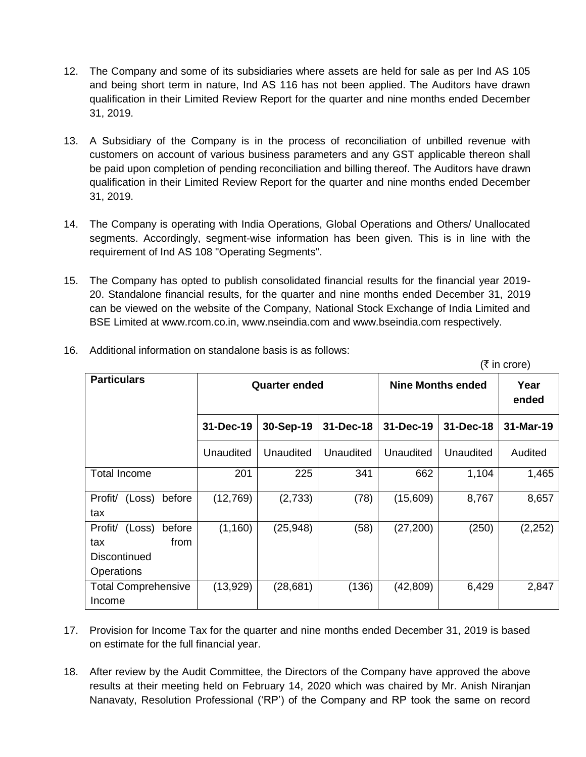- 12. The Company and some of its subsidiaries where assets are held for sale as per Ind AS 105 and being short term in nature, Ind AS 116 has not been applied. The Auditors have drawn qualification in their Limited Review Report for the quarter and nine months ended December 31, 2019.
- 13. A Subsidiary of the Company is in the process of reconciliation of unbilled revenue with customers on account of various business parameters and any GST applicable thereon shall be paid upon completion of pending reconciliation and billing thereof. The Auditors have drawn qualification in their Limited Review Report for the quarter and nine months ended December 31, 2019.
- 14. The Company is operating with India Operations, Global Operations and Others/ Unallocated segments. Accordingly, segment-wise information has been given. This is in line with the requirement of Ind AS 108 "Operating Segments".
- 15. The Company has opted to publish consolidated financial results for the financial year 2019- 20. Standalone financial results, for the quarter and nine months ended December 31, 2019 can be viewed on the website of the Company, National Stock Exchange of India Limited and BSE Limited at www.rcom.co.in, www.nseindia.com and www.bseindia.com respectively.

| <b>Particulars</b>                         |           | <b>Quarter ended</b> |           | <b>Nine Months ended</b> | Year<br>ended |           |  |
|--------------------------------------------|-----------|----------------------|-----------|--------------------------|---------------|-----------|--|
|                                            | 31-Dec-19 | 30-Sep-19            | 31-Dec-18 | 31-Dec-19                | 31-Dec-18     | 31-Mar-19 |  |
|                                            | Unaudited | Unaudited            | Unaudited | Unaudited                | Unaudited     | Audited   |  |
| <b>Total Income</b>                        | 201       | 225                  | 341       | 662                      | 1,104         | 1,465     |  |
| Profit/<br>before<br>(Loss)<br>tax         | (12,769)  | (2,733)              | (78)      | (15,609)                 | 8,767         | 8,657     |  |
| before<br>Profit/<br>(Loss)<br>from<br>tax | (1, 160)  | (25, 948)            | (58)      | (27, 200)                | (250)         | (2, 252)  |  |
| <b>Discontinued</b><br>Operations          |           |                      |           |                          |               |           |  |
| <b>Total Comprehensive</b><br>Income       | (13,929)  | (28, 681)            | (136)     | (42, 809)                | 6,429         | 2,847     |  |

 $(\bar{\tau}$  in crore)

16. Additional information on standalone basis is as follows:

- 17. Provision for Income Tax for the quarter and nine months ended December 31, 2019 is based on estimate for the full financial year.
- 18. After review by the Audit Committee, the Directors of the Company have approved the above results at their meeting held on February 14, 2020 which was chaired by Mr. Anish Niranjan Nanavaty, Resolution Professional ("RP") of the Company and RP took the same on record